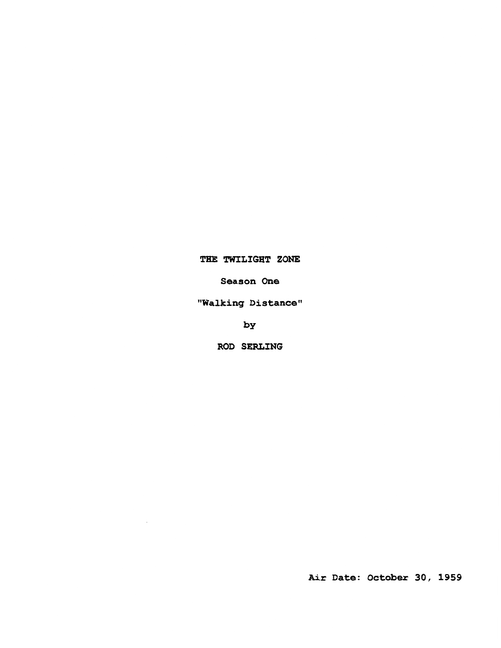# THE TWILIGHT ZONE

Season One

"Walking Distance"

by

ROD SERLING

 $\mathcal{L}_{\mathcal{A}}$ 

Air Date: October 30, 1959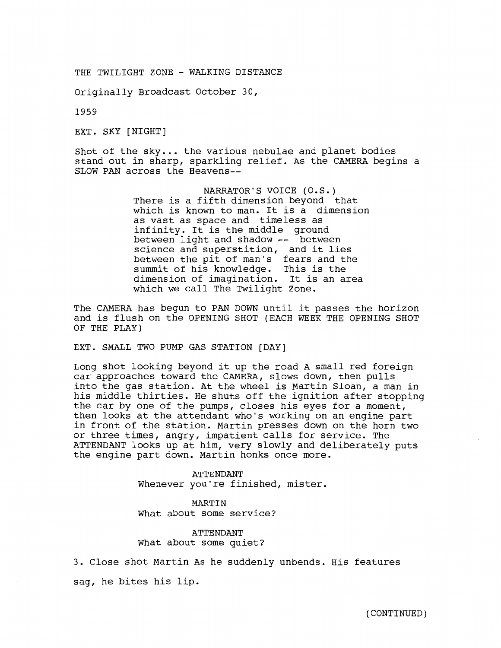THE TWILIGHT ZONE - WALKING DISTANCE

Originally Broadcast October 30,

1959

EXT. SKY [NIGHT]

Shot of the sky... the various nebulae and planet bodies stand out in sharp, sparkling relief. As the CAMERA begins a SLOW PAN across the Heavens--

> NARRATOR'S VOICE (O.S.) There is a fifth dimension beyond that which is known to man. It is a dimension as vast as space and timeless as infinity. It is the middle ground between light and shadow -- between science and superstition, and it lies between the pit of man's fears and the summit of his knowledge. This is the dimension of imagination. It is an area which we call The Twilight Zone.

The CAMERA has begun to PAN DOWN until it passes the horizon and is flush on the OPENING SHOT (EACH WEEK THE OPENING SHOT OF THE PLAY)

EXT. SMALL TWO PUMP GAS STATION [DAY]

Long shot looking beyond it up the road A small red foreign car approaches toward the CAMERA, slows down, then pulls into the gas station. At the wheel is Martin Sloan, a man in his middle thirties. He shuts off the ignition after stopping the car by one of the pumps, closes his eyes for a moment, then looks at the attendant who's working on an engine part in front of the station. Martin presses down on the horn two or three times, angry, impatient calls for service. The ATTENDANT looks up at him, very slowly and deliberately puts the engine part down. Martin honks once more.

> ATTENDANT Whenever you're finished, mister.

MARTIN What about some service?

ATTENDANT What about some quiet?

3. Close shot Martin As he suddenly unbends. His features

sag, he bites his lip.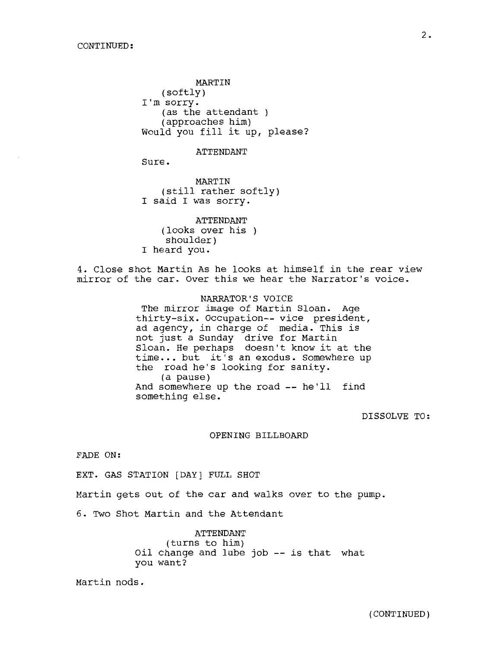MARTIN (softly) I'm sorry. (as the attendant (approaches him) would you fill it up, please?

#### ATTENDANT

Sure.

MARTIN (still rather softly) I said I was sorry.

ATTENDANT (looks over his) shoulder) I heard you.

4. Close shot Martin As he looks at himself in the rear view mirror of the car. Over this we hear the Narrator's voice.

> NARRATOR'S VOICE The mirror image of Martin Sloan. Age thirty-six. Occupation-- vice president, ad agency, in charge of media. This is not just a Sunday drive for Martin Sloan. He perhaps doesn't know it at the time... but it's an exodus. Somewhere up the road he's looking for sanity. (a pause) And somewhere up the road -- he'll find something else.

> > DISSOLVE TO:

### OPENING BILLBOARD

FADE ON:

EXT. GAS STATION [DAY] FULL SHOT

Martin gets out of the car and walks over to the pump.

6. Two Shot Martin and the Attendant

ATTENDANT (turns to him) Oil change and lube job -- is that what you want?

Martin nods.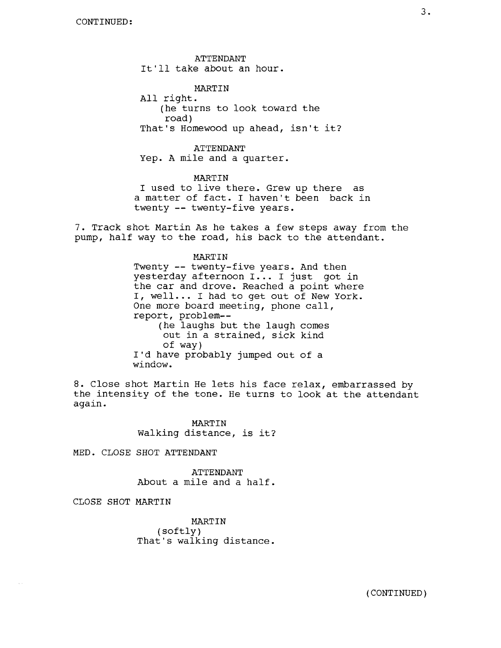ATTENDANT It'll take about an hour.

**MARTIN**  All right. (he turns to look toward the road) That's Homewood up ahead, isn't it?

ATTENDANT Yep. A mile and a quarter.

MARTIN I used to live there. Grew up there as a matter of fact. I haven't been back in twenty -- twenty-five years.

7. Track shot Martin As he takes a few steps away from the pump, half way to the road, his back to the attendant.

> **MARTIN**  Twenty -- twenty-five years. And then yesterday afternoon I... I just got in the car and drove. Reached a point where I, well... I had to get out of New York. One more board meeting, phone call, report, problem-- (he laughs but the laugh comes out in a strained, sick kind of way) I'd have probably jumped out of a window.

8. Close shot Martin He lets his face relax, embarrassed by the intensity of the tone. He turns to look at the attendant again.

> MARTIN walking distance, is it?

MED. CLOSE SHOT ATTENDANT

ATTENDANT About a mile and a half.

CLOSE SHOT MARTIN

MARTIN (softly) That's walking distance.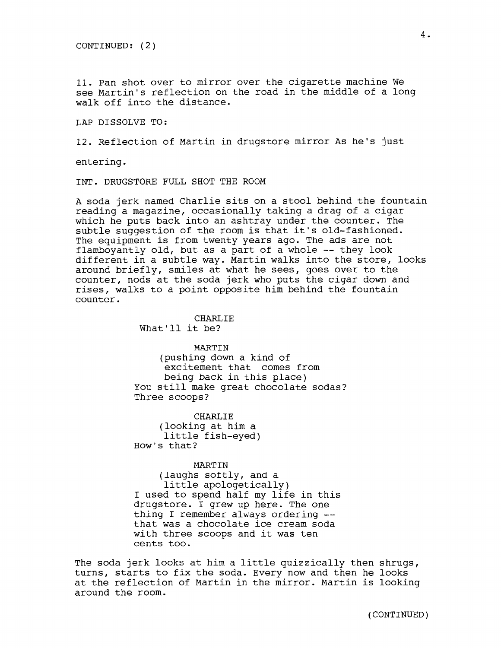CONTINUED: (2)

11. Pan shot over to mirror over the cigarette machine we see Martin's reflection on the road in the middle of a long walk off into the distance.

LAP DISSOLVE TO:

12. Reflection of Martin in drugstore mirror As he's just

entering.

INT. DRUGSTORE FULL SHOT THE ROOM

A soda jerk named Charlie sits on a stool behind the fountain reading a magazine, occasionally taking a drag of a cigar which he puts back into an ashtray under the counter. The subtle suggestion of the room is that it's old-fashioned. The equipment is from twenty years ago. The ads are not flamboyantly old, but as a part of a whole -- they look different in a subtle way. Martin walks into the store, looks around briefly, smiles at what he sees, goes over to the counter, nods at the soda jerk who puts the cigar down and rises, walks to a point opposite him behind the fountain counter.

> CHARLIE What'll it be?

MARTIN (pushing down a kind of excitement that comes from being back in this place) You still make great chocolate sodas? Three scoops?

CHARLIE (looking at him a little fish-eyed) How's that?

# **MARTIN**

(laughs softly, and a little apologetically) I used to spend half my life in this drugstore. I grew up here. The one thing I remember always ordering -- that was a chocolate ice cream soda with three scoops and it was ten cents too.

The soda jerk looks at him a little quizzically then shrugs, turns, starts to fix the soda. Every now and then he looks at the reflection of Martin in the mirror. Martin is looking around the room.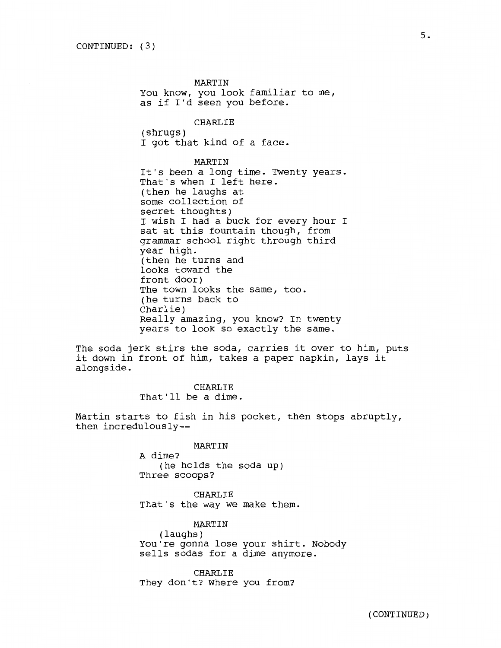MARTIN You know, you look familiar to me, as if I'd seen you before. CHARLIE (shrugs) I got that kind of a face. MARTIN It's been a long time. Twenty years. That's when I left here. (then he laughs at some collection of secret thoughts) I wish I had a buck for every hour I sat at this fountain though, from grammar school right through third year high. (then he turns and looks toward the front door) The town looks the same, too. (he turns back to Charlie) Really amazing, you know? In twenty years to look so exactly the same.

The soda jerk stirs the soda, carries it over to him, puts it down in front of him, takes a paper napkin, lays it alongside.

> CHARLIE That'll be a dime.

Martin starts to fish in his pocket, then stops abruptly, then incredulously--

MARTIN

A dime? (he holds the soda up) Three scoops?

CHARLIE That's the way we make them.

> MARTIN (laughs}

You're gonna lose your shirt. Nobody sells sodas for a dime anymore.

CHARLIE They don't? Where you from?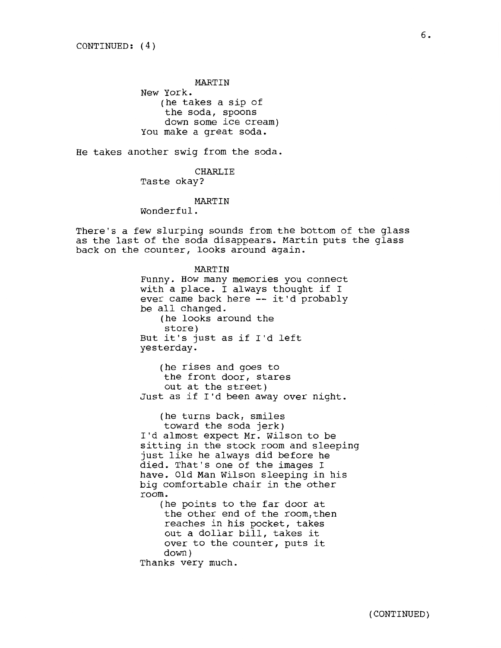**MARTIN** 

New York. (he takes a sip of the soda, spoons down some ice cream) You make a great soda.

He takes another swig from the soda.

**CHARLIE** 

Taste okay?

**MARTIN** 

Wonderful.

There's a few slurping sounds from the bottom of the glass as the last of the soda disappears. Martin puts the glass back on the counter, looks around again.

> **MARTIN**  Funny. How many memories you connect with a place. I always thought if I ever came back here -- it'd probably be all changed. (he looks around the store) But it's just as if I'd left yesterday.

> (he rises and goes to the front door, stares out at the street) Just as if I'd been away over night.

(he turns back, smiles toward the soda jerk) I'd almost expect Mr. Wilson to be sitting in the stock room and sleeping just like he always did before he died. That's one of the images I have. Old Man Wilson sleeping in his big comfortable chair in the other room.

(he points to the far door at the other end of the room,then reaches in his pocket, takes out a dollar bill, takes it over to the counter, puts it down) Thanks very much.

(CONTINUED)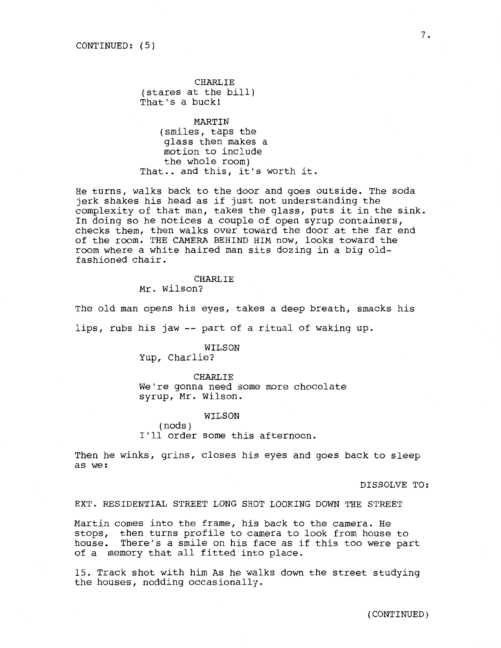**CHARLIE**  (stares at the bill) That's a buck!

**MARTIN**  (smiles, taps the glass then makes a motion to include the whole room) That.. and this, it's worth it.

He turns, walks back to the door and goes outside. The soda jerk shakes his head as if just not understanding the complexity of that man, takes the glass, puts it in the sink. In doing so he notices a couple of open syrup containers, checks them, then walks over toward the door at the far end of the room. THE CAMERA BEHIND HIM now, looks toward the room where a white haired man sits dozing in a big oldfashioned chair.

# CHARLIE

Mr. Wilson?

The old man opens his eyes, takes a deep breath, smacks his lips, rubs his jaw -- part of a ritual of waking up.

# WILSON

Yup, Charlie?

CHARLIE We're gonna need some more chocolate syrup, Mr. Wilson.

# WILSON (nods)

I'll order some this afternoon.

Then he winks, grins, closes his eyes and goes back to sleep as we:

### DISSOLVE TO:

EXT. RESIDENTIAL STREET LONG SHOT LOOKING DOWN THE STREET

Martin comes into the frame, his back to the camera. He stops, then turns profile to camera to look from house to house. There's a smile on his face as if this too were par There's a smile on his face as if this too were part of a memory that all fitted into place.

15. Track shot with him As he walks down the street studying the houses, nodding occasionally.

7.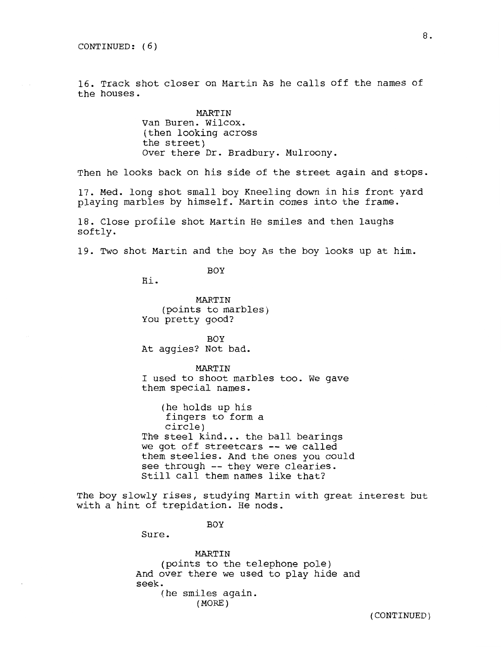16. Track shot closer on Martin As he calls off the names of the houses.

> **MARTIN**  van Buren. Wilcox. (then looking across the street) Over there Dr. Bradbury. Mulroony.

Then he looks back on his side of the street again and stops.

17. Med. long shot small boy Kneeling down in his front yard playing marbles by himself. Martin comes into the frame.

18. Close profile shot Martin He smiles and then laughs softly.

19. Two shot Martin and the boy As the boy looks up at him.

BOY

Hi.

**MARTIN**  (points to marbles) You pretty good?

**BOY**  At aggies? Not bad.

**MARTIN**  I used to shoot marbles too. We gave them special names.

(he holds up his fingers to form a circle) The steel kind... the ball bearings we got off streetcars -- we called them steelies. And the ones you could see through -- they were clearies. Still call them names like that?

The boy slowly rises, studying Martin with great interest but with a hint of trepidation. He nods.

**BOY** 

Sure.

**MARTIN**  (points to the telephone pole) And over there we used to play hide and seek. (he smiles again. **(MORE)** 

8.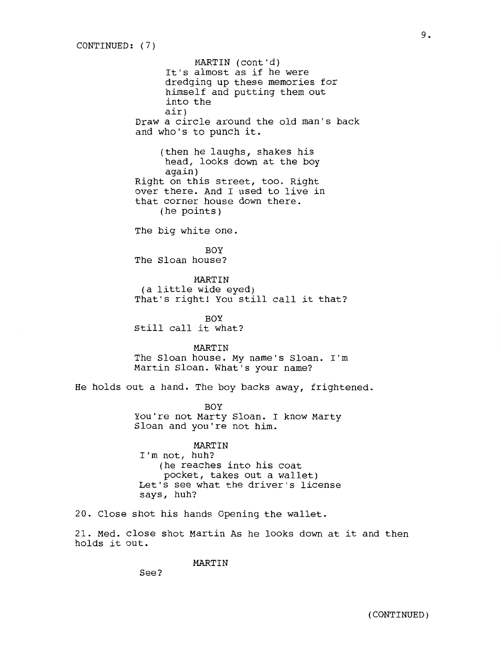MARTIN (cont'd) It's almost as if he were dredging up these memories for himself and putting them out into the air) Draw a circle around the old man's back and who's to punch it. (then he laughs, shakes his head, looks down at the boy again) Right on this street, too. Right over there. And I used to live in that corner house down there. (he points) The big white one. BOY The Sloan house? **MARTIN**  (a little wide eyed) That's right! You still call it that? **BOY**  Still call it what? **MARTIN**  The Sloan house. My name's Sloan. I'm Martin Sloan. What's your name? He holds out a hand. The boy backs away, frightened. BOY You're not Marty Sloan. I know Marty Sloan and you're not him. **MARTIN**  I'm not, huh? (he reaches into his coat pocket, takes out a wallet) Let's see what the driver's license says, huh?

20. Close shot his hands Opening the wallet.

21. Med. close shot Martin As he looks down at it and then holds it out.

MARTIN

See?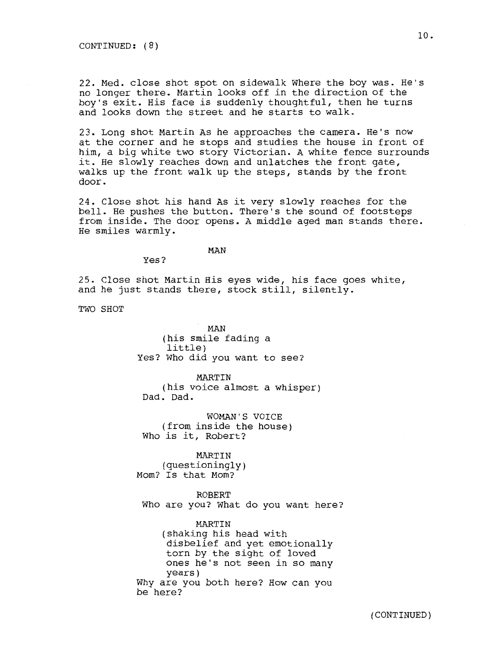CONTINUED: (8)

22. Med. close shot spot on sidewalk Where the boy was. He's no longer there. Martin looks off in the direction of the boy's exit. His face is suddenly thoughtful, then he turns and looks down the street and he starts to walk.

23. Long shot Martin As he approaches the camera. He's now at the corner and he stops and studies the house in front of him, a big white two story Victorian. A white fence surrounds it. He slowly reaches down and unlatches the front gate, walks up the front walk up the steps, stands by the front door.

24. Close shot his hand As it very slowly reaches for the bell. He pushes the button. There's the sound of footsteps from inside. The door opens. A middle aged man stands there. He smiles warmly.

**MAN** 

Yes?

25. Close shot Martin His eyes wide, his face goes white, and he just stands there, stock still, silently.

TWO SHOT

**MAN**  (his smile fading a little) Yes? Who did you want to see?

**MARTIN**  (his voice almost a whisper) Dad. Dad.

WOMAN'S VOICE (from inside the house) Who is it, Robert?

MARTIN (questioningly) Mom? Is that Mom?

ROBERT Who are you? What do you want here?

MARTIN (shaking his head with disbelief and yet emotionally torn by the sight of loved ones he's not seen in so many years) Why are you both here? How can you be here?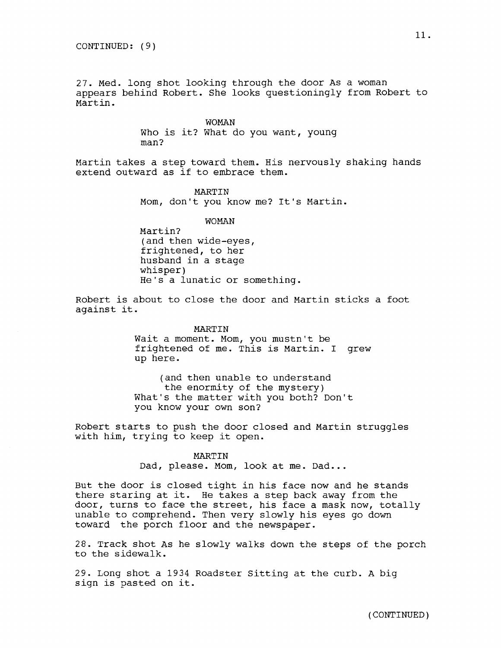27. Med. long shot looking through the door As a woman appears behind Robert. She looks questioningly from Robert to Martin.

> **WOMAN**  Who is it? What do you want, young man?

Martin takes a step toward them. His nervously shaking hands extend outward as if to embrace them.

> MARTIN Mom, don't you know me? It's Martin.

> > **WOMAN**

Martin? (and then wide-eyes, frightened, to her husband in a stage whisper) He's a lunatic or something.

Robert is about to close the door and Martin sticks a foot against it.

> **MARTIN**  Wait a moment. Mom, you mustn't be frightened of me. This is Martin. I grew up here.

(and then unable to understand the enormity of the mystery) What's the matter with you both? Don't you know your own son?

Robert starts to push the door closed and Martin struggles with him, trying to keep it open.

### **MARTIN**

Dad, please. Mom, look at me. Dad...

But the door is closed tight in his face now and he stands there staring at it. He takes a step back away from the door, turns to face the street, his face a mask now, totally unable to comprehend. Then very slowly his eyes go down toward the porch floor and the newspaper.

28. Track shot As he slowly walks down the steps of the porch to the sidewalk.

29. Long shot a 1934 Roadster Sitting at the curb. A big sign is pasted on it.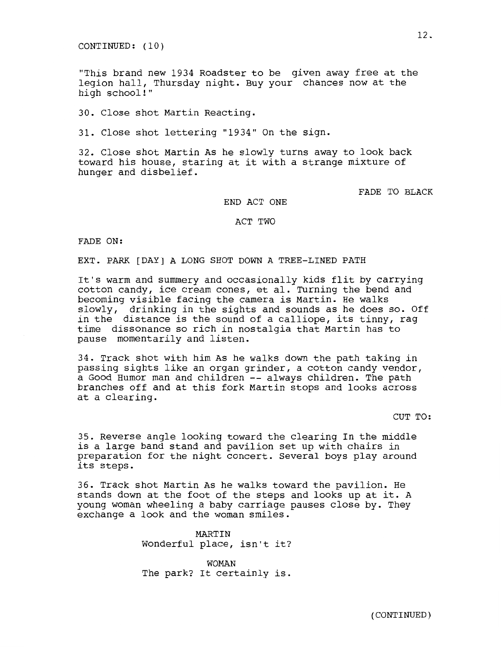CONTINUED: ( 10)

"This brand new 1934 Roadster to be given away free at the legion hall, Thursday night. Buy your chances now at the high school!"

30. Close shot Martin Reacting.

31. Close shot lettering "1934" On the sign.

32. Close shot Martin As he slowly turns away to look back toward his house, staring at it with a strange mixture of hunger and disbelief.

FADE TO BLACK

### END ACT ONE

ACT TWO

FADE ON:

**EXT. PARK [DAY] A LONG SHOT DOWN A TREE-LINED PATH** 

It's warm and summery and occasionally kids flit by carrying cotton candy, ice cream cones, et al. Turning the bend and becoming visible facing the camera is Martin. He walks slowly, drinking in the sights and sounds as he does so. Off in the distance is the sound of a calliope, its tinny, rag time dissonance so rich in nostalgia that Martin has to pause momentarily and listen.

34. Track shot with him As he walks down the path taking in passing sights like an organ grinder, a cotton candy vendor, a Good Humor man and children -- always children. The path branches off and at this fork Martin stops and looks across at a clearing.

CUT TO:

35. Reverse angle looking toward the clearing In the middle is a large band stand and pavilion set up with chairs in preparation for the night concert. Several boys play around its steps.

36. Track shot Martin As he walks toward the pavilion. He stands down at the foot of the steps and looks up at it. A young woman wheeling a baby carriage pauses close by. They exchange a look and the woman smiles.

> **MARTIN**  wonderful place, isn't it?

> **WOMAN**  The park? It certainly is.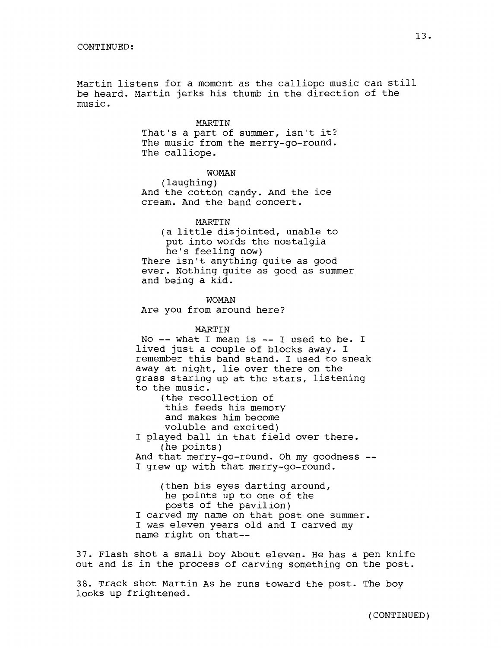Martin listens for a moment as the calliope music can still be heard. Martin jerks his thumb in the direction of the music.

> **MARTIN**  That's a part of summer, isn't it? The music from the merry-go-round. The calliope.

> > **WOMAN**

(laughing) And the cotton candy. And the ice cream. And the band concert.

**MARTIN**  (a little disjointed, unable to put into words the nostalgia he's feeling now) There isn't anything quite as good ever. Nothing quite as good as summer and being a kid.

**WOMAN**  Are you from around here?

### **MARTIN**

No  $--$  what I mean is  $--$  I used to be. I lived just a couple of blocks away. I remember this band stand. I used to sneak away at night, lie over there on the grass staring up at the stars, listening to the music.

> (the recollection of this feeds his memory and makes him become

voluble and excited)

I played ball in that field over there. (he points)

And that merry-go-round. Oh my goodness I grew up with that merry-go-round.

(then his eyes darting around, he points up to one of the posts of the pavilion) I carved my name on that post one summer. I was eleven years old and I carved my name right on that--

37. Flash shot a small boy About eleven. He has a pen knife out and is in the process of carving something on the post.

38. Track shot Martin As he runs toward the post. The boy looks up frightened.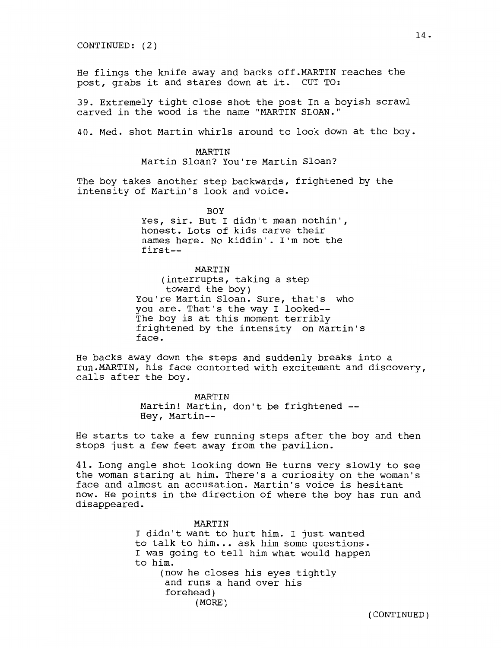CONTINUED: (2)

He flings the knife away and backs off.MARTIN reaches the post, grabs it and stares down at it. CUT TO:

39. Extremely tight close shot the post In a boyish scrawl carved in the wood is the name "MARTIN SLOAN."

40. Med. shot Martin whirls around to look down at the boy.

**MARTIN**  Martin Sloan? You're Martin Sloan?

The boy takes another step backwards, frightened by the intensity of Martin's look and voice.

> **BOY**  Yes, sir. But I didn't mean nothin', honest. Lots of kids carve their names here. No kiddin'. I'm not the first--

**MARTIN**  (interrupts, taking a step toward the boy) You're Martin Sloan. Sure, that's who you are. That's the way I looked-- The boy is at this moment terribly frightened by the intensity on Martin's face.

He backs away down the steps and suddenly breaks into a run.MARTIN, his face contorted with excitement and discovery, calls after the boy.

> **MARTIN**  Martin! Martin, don't be frightened -- Hey, Martin--

He starts to take a few running steps after the boy and then stops just a few feet away from the pavilion.

41. Long angle shot looking down He turns very slowly to see the woman staring at him. There's a curiosity on the woman's face and almost an accusation. Martin's voice is hesitant now. He points in the direction of where the boy has run and disappeared.

# **MARTIN**

I didn't want to hurt him. I just wanted to talk to him... ask him some questions. I was going to tell him what would happen to him. (now he closes his eyes tightly and runs a hand over his forehead) **(MORE}**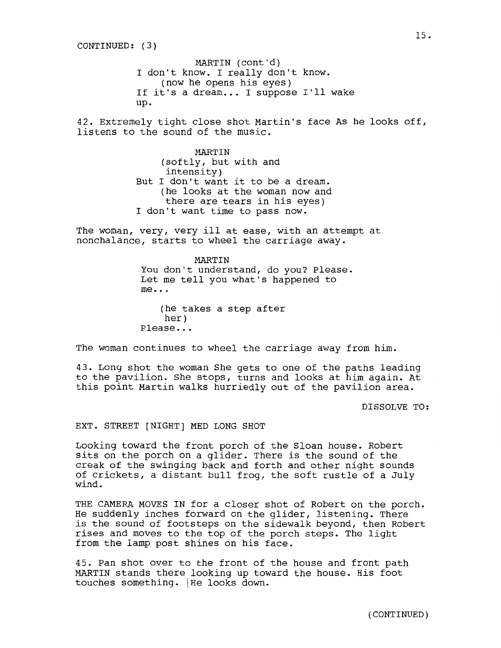MARTIN (cont'd) I don't know. I really don't know. (now he opens his eyes) If it's a dream... I suppose I'll wake up.

42. Extremely tight close shot Martin's face As he looks off, listens to the sound of the music.

> MARTIN (softly, but with and intensity) But I don't want it to be a dream. (he looks at the woman now and there are tears in his eyes) I don't want time to pass now.

The woman, very, very ill at ease, with an attempt at nonchalance, starts to wheel the carriage away.

> **MARTIN**  You don't understand, do you? Please. Let me tell you what's happened to me ...

(he takes a step after her) Please...

The woman continues to wheel the carriage away from him.

43. Long shot the woman She gets to one of the paths leading to the pavilion. She stops, turns and looks at him again. At this point Martin walks hurriedly out of the pavilion area.

**DISSOLVE** TO:

**EXT. STREET [NIGHT] MED LONG SHOT** 

Looking toward the front porch of the Sloan house. Robert sits on the porch on a glider. There is the sound of the creak of the swinging back and forth and other night sounds of crickets, a distant bull frog, the soft rustle of a July wind.

THE CAMERA MOVES IN for a closer shot of Robert on the porch. He suddenly inches forward on the glider, listening. There is the sound of footsteps on the sidewalk beyond, then Robert rises and moves to the top of the porch steps. The light from the lamp post shines on his face.

45. Pan shot over to the front of the house and front path MARTIN stands there looking up toward the house. His foot touches something. He looks down.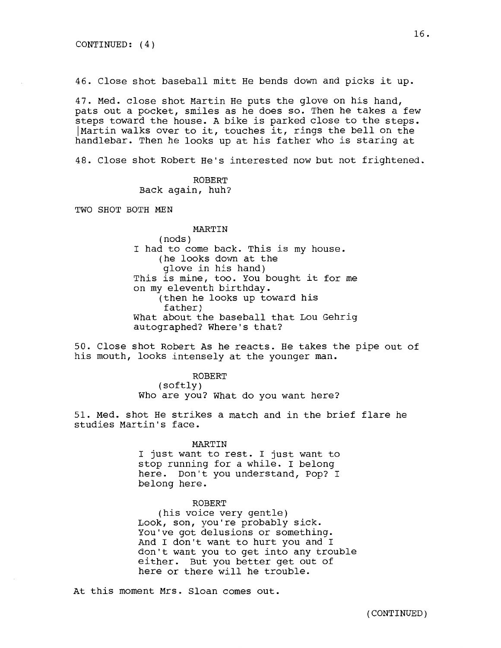46. Close shot baseball mitt He bends down and picks it up.

47. Med. close shot Martin He puts the glove on his hand, pats out a pocket, smiles as he does so. Then he takes a few steps toward the house. A bike is parked close to the steps. !Martin walks over to it, touches it, rings the bell on the handlebar. Then he looks up at his father who is staring at

48. Close shot Robert He's interested now but not frightened.

ROBERT Back again, huh?

TWO SHOT BOTH **MEN** 

# **MARTIN**

(nods) I had to come back. This is my house. (he looks down at the glove in his hand) This is mine, too. You bought it for me on my eleventh birthday. (then he looks up toward his father) What about the baseball that Lou Gehrig autographed? Where's that?

50. Close shot Robert As he reacts. He takes the pipe out of his mouth, looks intensely at the younger man.

ROBERT

(softly) Who are you? What do you want here?

51. Med. shot He strikes a match and in the brief flare he studies Martin's face.

#### MARTIN

I just want to rest. I just want to stop running for a while. I belong here. Don't you understand, Pop? I belong here.

#### ROBERT

(his voice very gentle) Look, son, you're probably sick. You've got delusions or something. And I don't want to hurt you and I don't want you to get into any trouble either. But you better get out of here or there will he trouble.

At this moment Mrs. Sloan comes out.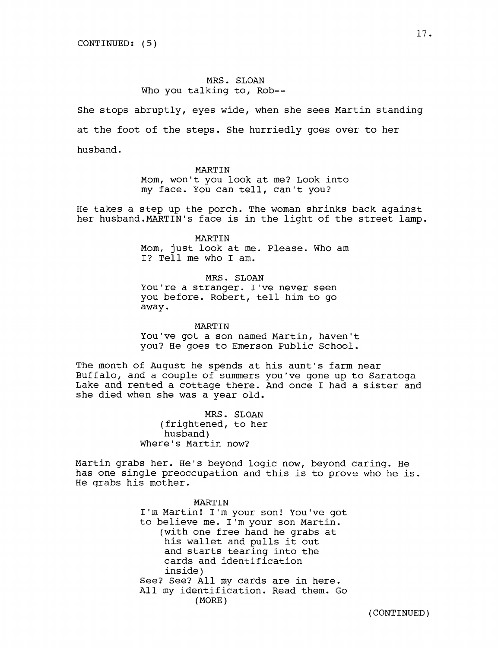# **MRS.** SLOAN Who you talking to, Rob--

She stops abruptly, eyes wide, when she sees Martin standing at the foot of the steps. She hurriedly goes over to her husband.

#### **MARTIN**

Mom, won't you look at me? Look into my face. You can tell, can't you?

He takes a step up the porch. The woman shrinks back against her husband.MARTIN'S face is in the light of the street lamp.

> **MARTIN**  Mom, just look at me. Please. Who am I? Tell me who I am.

**MRS. SLOAN**  You're a stranger. I've never seen you before. Robert, tell him to go away.

**MARTIN**  You've got a son named Martin, haven't you? He goes to Emerson Public School.

The month of August he spends at his aunt's farm near Buffalo, and a couple of summers you've gone up to Saratoga Lake and rented a cottage there. And once I had a sister and she died when she was a year old.

> **MRS. SLOAN**  (frightened, to her husband) Where's Martin now?

Martin grabs her. He's beyond logic now, beyond caring. He has one single preoccupation and this is to prove who he is. He grabs his mother.

> **MARTIN**  I'm Martin! I'm your son! You've got to believe me. I'm your son Martin. (with one free hand he grabs at his wallet and pulls it out and starts tearing into the cards and identification inside) See? See? All my cards are in here. All my identification. Read them. Go **(MORE)**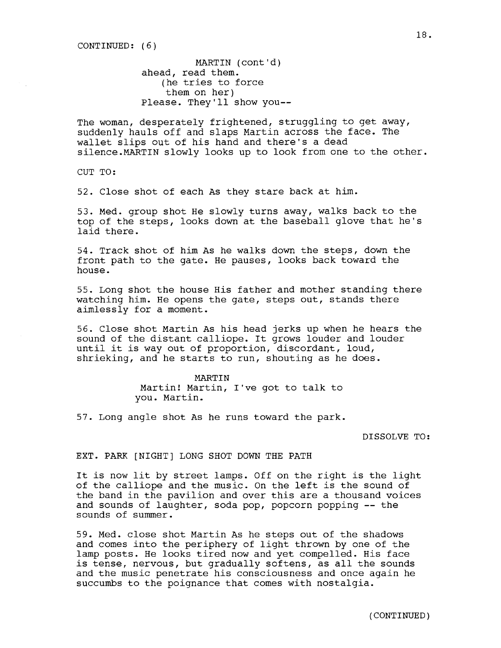MARTIN (cont'd) ahead, read them. (he tries to force them on her) Please. They'll show you--

The woman, desperately frightened, struggling to get away, suddenly hauls off and slaps Martin across the face. The wallet slips out of his hand and there's a dead silence.MARTIN slowly looks up to look from one to the other.

CUT TO:

52. Close shot of each As they stare back at him.

53. Med. group shot He slowly turns away, walks back to the top of the steps, looks down at the baseball glove that he's laid there.

54. Track shot of him As he walks down the steps, down the front path to the gate. He pauses, looks back toward the house.

55. Long shot the house His father and mother standing there watching him. He opens the gate, steps out, stands there aimlessly for a moment.

56. Close shot Martin As his head jerks up when he hears the sound of the distant calliope. It grows louder and louder until it is way out of proportion, discordant, loud, shrieking, and he starts to run, shouting as he does.

# **MARTIN**  Martin! Martin, I've got to talk to you. Martin.

57. Long angle shot As he runs toward the park.

DISSOLVE TO:

EXT. PARK [NIGHT] LONG SHOT DOWN THE PATH

It is now lit by street lamps. Off on the right is the light of the calliope and the music. On the left is the sound of the band in the pavilion and over this are a thousand voices and sounds of laughter, soda pop, popcorn popping -- the sounds of summer.

59. Med. close shot Martin As he steps out of the shadows and comes into the periphery of light thrown by one of the lamp posts. He looks tired now and yet compelled. His face is tense, nervous, but gradually softens, as all the sounds and the music penetrate his consciousness and once again he succumbs to the poignance that comes with nostalgia.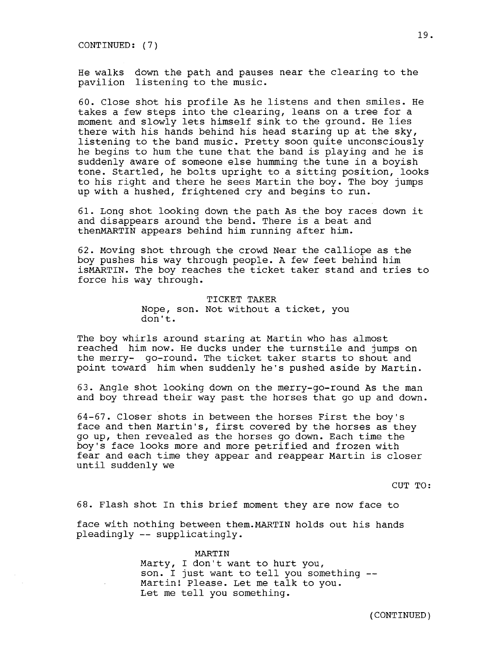CONTINUED: (7)

He walks down the path and pauses near the clearing to the pavilion listening to the music.

60. Close shot his profile As he listens and then smiles. He takes a few steps into the clearing, leans on a tree for a moment and slowly lets himself sink to the ground. He lies there with his hands behind his head staring up at the sky, listening to the band music. Pretty soon quite unconsciously he begins to hum the tune that the band is playing and he is suddenly aware of someone else humming the tune in a boyish tone. Startled, he bolts upright to a sitting position, looks to his right and there he sees Martin the boy. The boy jumps up with a hushed, frightened cry and begins to run.

61. Long shot looking down the path As the boy races down it and disappears around the bend. There is a beat and thenMARTIN appears behind him running after him.

62. Moving shot through the crowd Near the calliope as the boy pushes his way through people. A few feet behind him isMARTIN. The boy reaches the ticket taker stand and tries to force his way through.

> TICKET TAKER Nope, son. Not without a ticket, you don't.

The boy whirls around staring at Martin who has almost reached him now. He ducks under the turnstile and jumps on the merry- go-round. The ticket taker starts to shout and point toward him when suddenly he's pushed aside by Martin.

63. Angle shot looking down on the merry-go-round As the man and boy thread their way past the horses that go up and down.

64-67. Closer shots in between the horses First the boy's face and then Martin's, first covered by the horses as they go up, then revealed as the horses go down. Each time the boy's face looks more and more petrified and frozen with fear and each time they appear and reappear Martin is closer until suddenly we

CUT TO:

68. Flash shot In this brief moment they are now face to

face with nothing between them.MARTIN holds out his hands pleadingly -- supplicatingly.

**MARTIN** 

Marty, I don't want to hurt you, son. I just want to tell you something Martin! Please. Let me talk to you. Let me tell you something.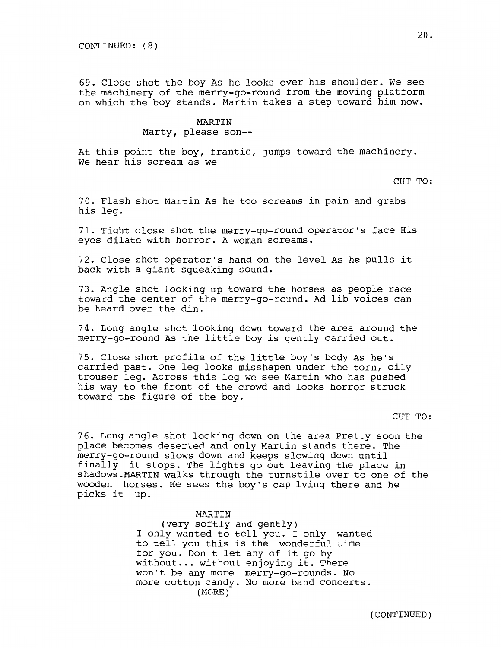69. Close shot the boy As he looks over his shoulder. We see the machinery of the merry-go-round from the moving platform on which the boy stands. Martin takes a step toward him now.

# **MARTIN**  Marty, please son--

At this point the boy, frantic, jumps toward the machinery. We hear his scream as we

CUT TO:

70. Flash shot Martin As he too screams in pain and grabs his leg.

71. Tight close shot the merry-go-round operator's face His eyes dilate with horror. A woman screams.

72. Close shot operator's hand on the level As he pulls it back with a giant squeaking sound.

73. Angle shot looking up toward the horses as people race toward the center of the merry-go-round. Ad lib voices can be heard over the din.

74. Long angle shot looking down toward the area around the merry-go-round As the little boy is gently carried out.

75. Close shot profile of the little boy's body As he's carried past. One leg looks misshapen under the torn, oily trouser leg. Across this leg we see Martin who has pushed his way to the front of the crowd and looks horror struck toward the figure of the boy.

CUT TO:

76. Long angle shot looking down on the area Pretty soon the place becomes deserted and only Martin stands there. The merry-go-round slows down and keeps slowing down until finally it stops. The lights go out leaving the place in shadows.MARTIN walks through the turnstile over to one of the wooden horses. He sees the boy's cap lying there and he picks it up.

# **MARTIN**

(very softly and gently) I only wanted to tell you. I only wanted to tell you this is the wonderful time for you. Don't let any of it go by without... without enjoying it. There won't be any more merry-go-rounds. No more cotton candy. No more band concerts. **(MORE)**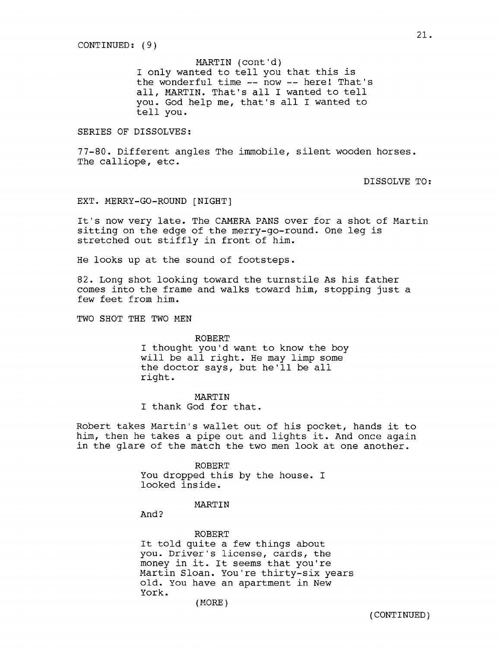MARTIN (cont'd) I only wanted to tell you that this is the wonderful time -- now -- here! That's all, MARTIN. That's all I wanted to tell you. God help me, that's all I wanted to tell you.

### SERIES OF DISSOLVES:

77-80. Different angles The immobile, silent wooden horses. The calliope, etc.

DISSOLVE TO:

### **EXT. MERRY-GO-ROUND [NIGHT]**

It's now very late. The CAMERA PANS over for a shot of Martin sitting on the edge of the merry-go-round. One leg is stretched out stiffly in front of him.

He looks up at the sound of footsteps.

82. Long shot looking toward the turnstile As his father comes into the frame and walks toward him, stopping just a few feet from him.

**TWO SHOT THE TWO MEN** 

### **ROBERT**

I thought you'd want to know the boy will be all right. He may limp some the doctor says, but he'll be all right.

**MARTIN**  I thank God for that.

Robert takes Martin's wallet out of his pocket, hands it to him, then he takes a pipe out and lights it. And once again in the glare of the match the two men look at one another.

> **ROBERT**  You dropped this by the house. I looked inside.

# **MARTIN**

**And?** 

ROBERT It told quite a few things about you. Driver's license, cards, the money in it. It seems that you're Martin Sloan. You're thirty-six years old. You have an apartment in New York.

**(MORE)**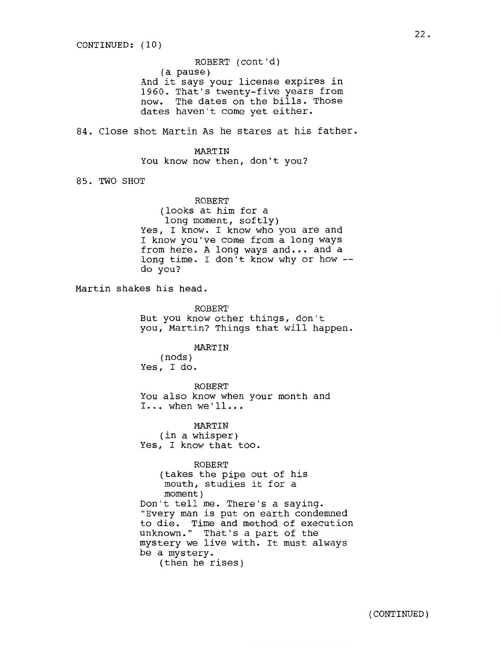ROBERT (cont'd) (a pause) And it says your license expires in 1960. That's twenty-five years from now. The dates on the bills. Those dates haven't come yet either.

84. Close shot Martin As he stares at his father.

MARTIN You know now then, don't you?

85. TWO SHOT

ROBERT (looks at him for a long moment, softly) Yes, I know. I know who you are and I know you've come from a long ways from here. A long ways and... and a long time. I don't know why or how do you?

Martin shakes his head.

ROBERT But you know other things, don't you, Martin? Things that will happen.

# MARTIN

(nods) Yes, I do.

**ROBERT**  You also know when your month and  $I...$  when we'll...

**MARTIN**  (in a whisper) Yes, I know that too.

#### **ROBERT**

(takes the pipe out of his mouth, studies it for a moment) Don't tell me. There"s a saying. "Every man is put on earth condemned to die. Time and method of execution unknown." That's a part of the mystery we live with. It must always be a mystery. (then he rises}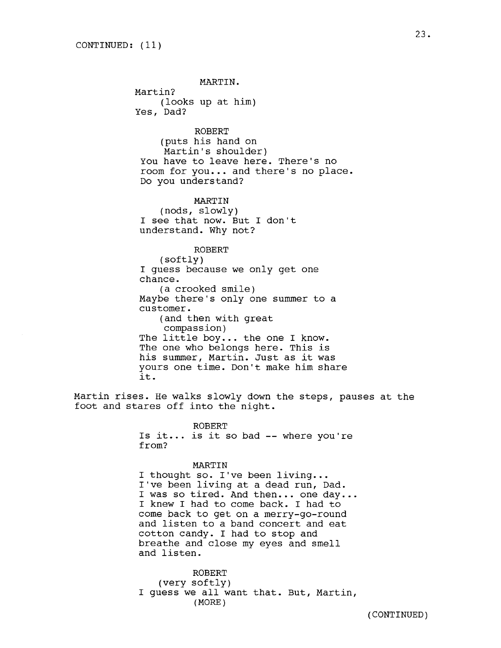MARTIN. Martin? (looks up at him) Yes, Dad?

ROBERT (puts his hand on Martin's shoulder) You have to leave here. There's no room for you... and there's no place. Do you understand?

MARTIN (nods, slowly) I see that now. But I don't understand. Why not?

ROBERT (softly) I guess because we only get one chance. (a crooked smile) Maybe there's only one summer to a customer. (and then with great compassion) The little boy... the one I know. The one who belongs here. This is his summer, Martin. Just as it was yours one time. Don't make him share it.

Martin rises. He walks slowly down the steps, pauses at the foot and stares off into the night.

> ROBERT Is it... is it so bad  $-$ - where you're from?

### MARTIN

I thought so. I've been living... I've been living at a dead run, Dad. I was so tired. And then... one day... I knew I had to come back. I had to come back to get on a merry-go-round and listen to a band concert and eat cotton candy. I had to stop and breathe and close my eyes and smell and listen.

ROBERT (very softly) I guess we all want that. But, Martin, (MORE)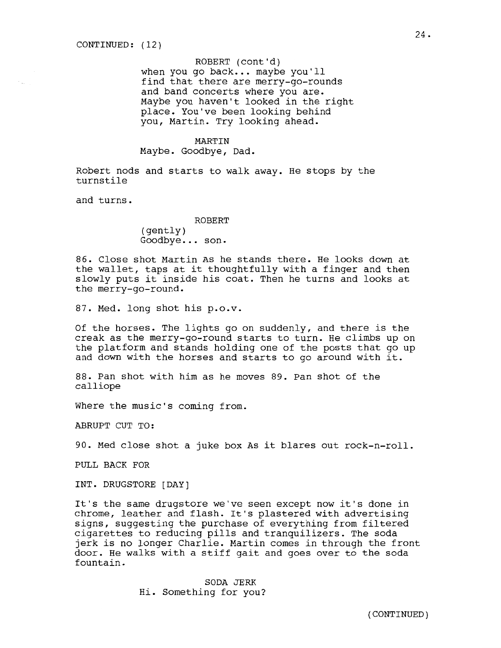# ROBERT (cont'd)

when you go back... maybe you'll find that there are merry-go-rounds and band concerts where you are. Maybe you haven't looked in the right place. You've been looking behind you, Martin. Try looking ahead.

### MARTIN

Maybe. Goodbye, Dad.

Robert nods and starts to walk away. He stops by the turnstile

and turns.

# ROBERT

(gently) Goodbye... son.

86. Close shot Martin As he stands there. He looks down at the wallet, taps at it thoughtfully with a finger and then slowly puts it inside his coat. Then he turns and looks at the merry-go-round.

87. Med. long shot his p.o.v.

Of the horses. The lights go on suddenly, and there is the creak as the merry-go-round starts to turn. He climbs up on the platform and stands holding one of the posts that go up and down with the horses and starts to go around with it.

88. Pan shot with him as he moves 89. Pan shot of the calliope

Where the music's coming from.

ABRUPT CUT TO:

90. Med close shot a juke box As it blares out rock-n-roll.

PULL BACK FOR

INT. DRUGSTORE [DAY]

It's the same drugstore we've seen except now it's done in chrome, leather and flash. It's plastered with advertising signs, suggesting the purchase of everything from filtered cigarettes to reducing pills and tranquilizers. The soda jerk is no longer Charlie. Martin comes in through the front door. He walks with a stiff gait and goes over to the soda fountain.

> **SODA** JERK Hi. Something for you?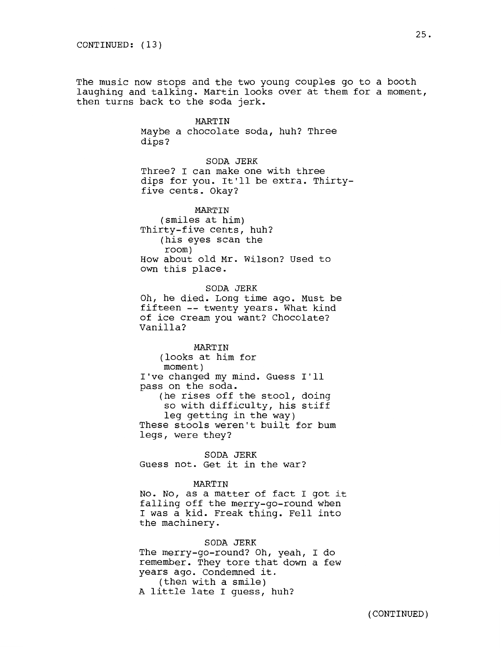The music now stops and the two young couples go to a booth laughing and talking. Martin looks over at them for a moment, then turns back to the soda jerk.

> **MARTIN**  Maybe a chocolate soda, huh? Three dips?

**SODA JERK**  Three? I can make one with three dips for you. It'll be extra. Thirtyfive cents. Okay?

**MARTIN**  (smiles at him) Thirty-five cents, huh? (his eyes scan the room) How about old Mr. Wilson? Used to own this place.

**SODA JERK**  Oh, he died. Long time ago. Must be fifteen -- twenty years. What kind of ice cream you want? Chocolate? Vanilla?

**MARTIN**  (looks at him for moment) I've changed my mind. Guess I'll pass on the soda. (he rises off the stool, doing so with difficulty, his stiff leg getting in the way) These stools weren't built for bum legs, were they?

**SODA JERK**  Guess not. Get it in the war?

### MARTIN

No. No, as a matter of fact I got it falling off the merry-go-round when I was a kid. Freak thing. Fell into the machinery.

SODA JERK

The merry-go-round? Oh, yeah, I do remember. They tore that down a few years ago. Condemned it. (then with a smile) A little late I guess, huh?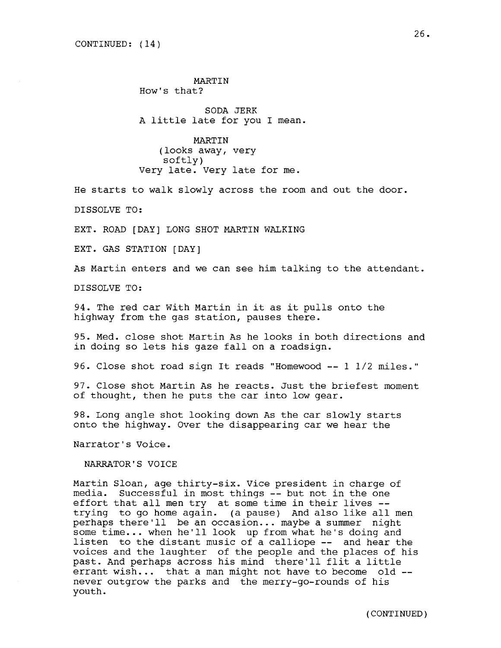MARTIN How's that?

**SODA** JERK A little late for you I mean.

**MARTIN**  (looks away, very softly) Very late. Very late for me.

He starts to walk slowly across the room and out the door.

DISSOLVE TO:

EXT. ROAD [DAY] LONG SHOT MARTIN WALKING

EXT. GAS STATION [DAY]

As Martin enters and we can see him talking to the attendant.

DISSOLVE TO:

94. The red car With Martin in it as it pulls onto the highway from the gas station, pauses there.

95. Med. close shot Martin As he looks in both directions and in doing so lets his gaze fall on a roadsign.

96. Close shot road sign It reads "Homewood -- 1 1/2 miles."

97. Close shot Martin As he reacts. Just the briefest moment of thought, then he puts the car into low gear.

98. Long angle shot looking down As the car slowly starts onto the highway. Over the disappearing car we hear the

Narrator's Voice.

**NARRATOR'S VOICE** 

Martin Sloan, age thirty-six. Vice president in charge of media. Successful in most things -- but not in the one effort that all men try at some time in their lives - trying to go home again. (a pause) And also like all men perhaps there'll be an occasion... maybe a summer night some time... when he'll look up from what he's doing and listen to the distant music of a calliope -- and hear the voices and the laughter of the people and the places of his past. And perhaps across his mind there'll flit a little errant wish... that a man might not have to become old  $-$ never outgrow the parks and the merry-go-rounds of his youth.